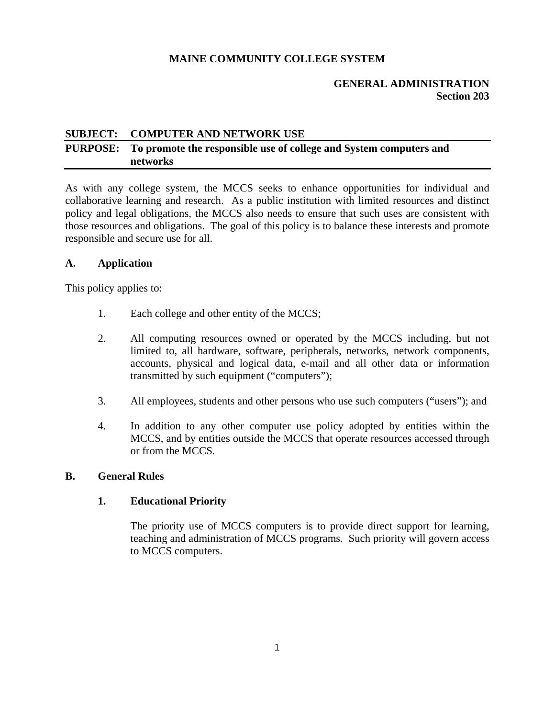## **MAINE COMMUNITY COLLEGE SYSTEM**

### **GENERAL ADMINISTRATION Section 203**

#### **SUBJECT: COMPUTER AND NETWORK USE**

# **PURPOSE: To promote the responsible use of college and System computers and networks**

As with any college system, the MCCS seeks to enhance opportunities for individual and collaborative learning and research. As a public institution with limited resources and distinct policy and legal obligations, the MCCS also needs to ensure that such uses are consistent with those resources and obligations. The goal of this policy is to balance these interests and promote responsible and secure use for all.

#### **A. Application**

This policy applies to:

- 1. Each college and other entity of the MCCS;
- 2. All computing resources owned or operated by the MCCS including, but not limited to, all hardware, software, peripherals, networks, network components, accounts, physical and logical data, e-mail and all other data or information transmitted by such equipment ("computers");
- 3. All employees, students and other persons who use such computers ("users"); and
- 4. In addition to any other computer use policy adopted by entities within the MCCS, and by entities outside the MCCS that operate resources accessed through or from the MCCS.

#### **B. General Rules**

#### **1. Educational Priority**

 The priority use of MCCS computers is to provide direct support for learning, teaching and administration of MCCS programs. Such priority will govern access to MCCS computers.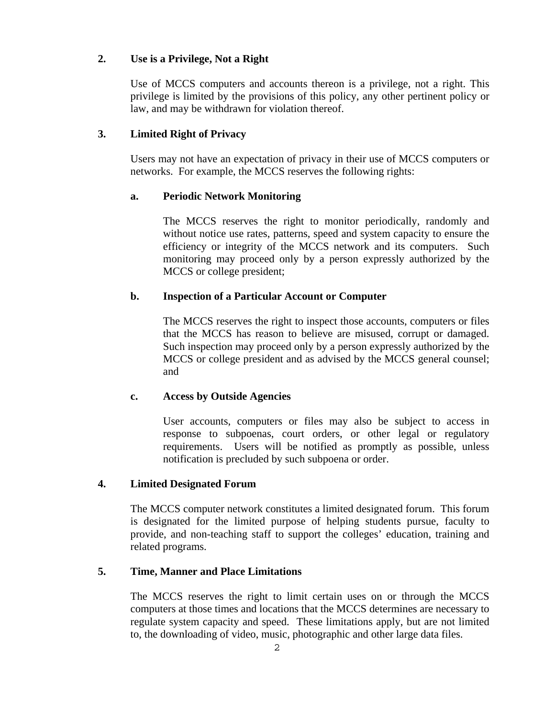### **2. Use is a Privilege, Not a Right**

 Use of MCCS computers and accounts thereon is a privilege, not a right. This privilege is limited by the provisions of this policy, any other pertinent policy or law, and may be withdrawn for violation thereof.

## **3. Limited Right of Privacy**

 Users may not have an expectation of privacy in their use of MCCS computers or networks. For example, the MCCS reserves the following rights:

### **a. Periodic Network Monitoring**

The MCCS reserves the right to monitor periodically, randomly and without notice use rates, patterns, speed and system capacity to ensure the efficiency or integrity of the MCCS network and its computers. Such monitoring may proceed only by a person expressly authorized by the MCCS or college president;

### **b. Inspection of a Particular Account or Computer**

The MCCS reserves the right to inspect those accounts, computers or files that the MCCS has reason to believe are misused, corrupt or damaged. Such inspection may proceed only by a person expressly authorized by the MCCS or college president and as advised by the MCCS general counsel; and

## **c. Access by Outside Agencies**

User accounts, computers or files may also be subject to access in response to subpoenas, court orders, or other legal or regulatory requirements. Users will be notified as promptly as possible, unless notification is precluded by such subpoena or order.

### **4. Limited Designated Forum**

 The MCCS computer network constitutes a limited designated forum. This forum is designated for the limited purpose of helping students pursue, faculty to provide, and non-teaching staff to support the colleges' education, training and related programs.

#### **5. Time, Manner and Place Limitations**

 The MCCS reserves the right to limit certain uses on or through the MCCS computers at those times and locations that the MCCS determines are necessary to regulate system capacity and speed. These limitations apply, but are not limited to, the downloading of video, music, photographic and other large data files.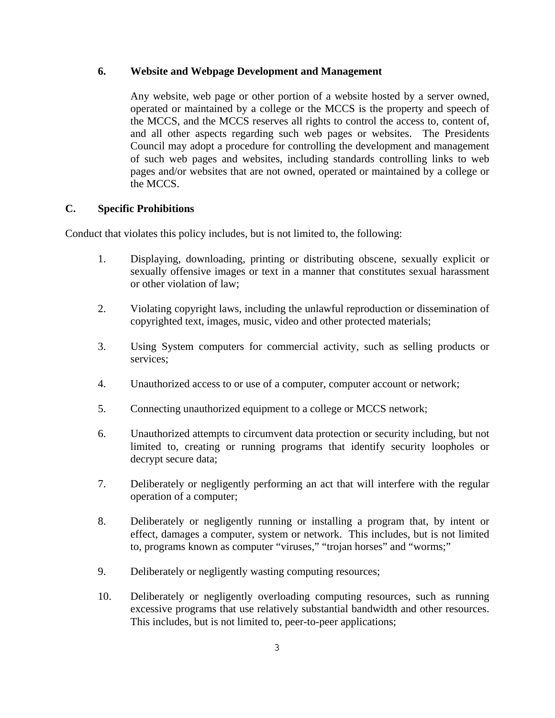## **6. Website and Webpage Development and Management**

 Any website, web page or other portion of a website hosted by a server owned, operated or maintained by a college or the MCCS is the property and speech of the MCCS, and the MCCS reserves all rights to control the access to, content of, and all other aspects regarding such web pages or websites. The Presidents Council may adopt a procedure for controlling the development and management of such web pages and websites, including standards controlling links to web pages and/or websites that are not owned, operated or maintained by a college or the MCCS.

# **C. Specific Prohibitions**

Conduct that violates this policy includes, but is not limited to, the following:

- 1. Displaying, downloading, printing or distributing obscene, sexually explicit or sexually offensive images or text in a manner that constitutes sexual harassment or other violation of law;
- 2. Violating copyright laws, including the unlawful reproduction or dissemination of copyrighted text, images, music, video and other protected materials;
- 3. Using System computers for commercial activity, such as selling products or services;
- 4. Unauthorized access to or use of a computer, computer account or network;
- 5. Connecting unauthorized equipment to a college or MCCS network;
- 6. Unauthorized attempts to circumvent data protection or security including, but not limited to, creating or running programs that identify security loopholes or decrypt secure data;
- 7. Deliberately or negligently performing an act that will interfere with the regular operation of a computer;
- 8. Deliberately or negligently running or installing a program that, by intent or effect, damages a computer, system or network. This includes, but is not limited to, programs known as computer "viruses," "trojan horses" and "worms;"
- 9. Deliberately or negligently wasting computing resources;
- 10. Deliberately or negligently overloading computing resources, such as running excessive programs that use relatively substantial bandwidth and other resources. This includes, but is not limited to, peer-to-peer applications;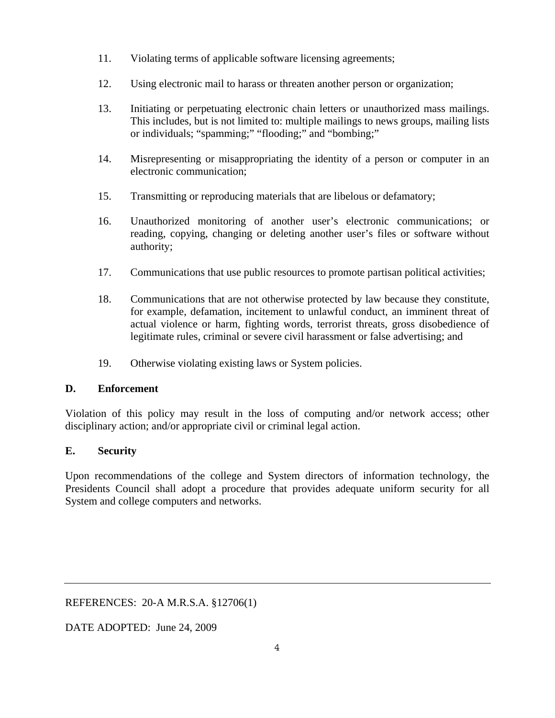- 11. Violating terms of applicable software licensing agreements;
- 12. Using electronic mail to harass or threaten another person or organization;
- 13. Initiating or perpetuating electronic chain letters or unauthorized mass mailings. This includes, but is not limited to: multiple mailings to news groups, mailing lists or individuals; "spamming;" "flooding;" and "bombing;"
- 14. Misrepresenting or misappropriating the identity of a person or computer in an electronic communication;
- 15. Transmitting or reproducing materials that are libelous or defamatory;
- 16. Unauthorized monitoring of another user's electronic communications; or reading, copying, changing or deleting another user's files or software without authority;
- 17. Communications that use public resources to promote partisan political activities;
- 18. Communications that are not otherwise protected by law because they constitute, for example, defamation, incitement to unlawful conduct, an imminent threat of actual violence or harm, fighting words, terrorist threats, gross disobedience of legitimate rules, criminal or severe civil harassment or false advertising; and
- 19. Otherwise violating existing laws or System policies.

## **D. Enforcement**

Violation of this policy may result in the loss of computing and/or network access; other disciplinary action; and/or appropriate civil or criminal legal action.

## **E. Security**

Upon recommendations of the college and System directors of information technology, the Presidents Council shall adopt a procedure that provides adequate uniform security for all System and college computers and networks.

REFERENCES: 20-A M.R.S.A. §12706(1)

DATE ADOPTED: June 24, 2009